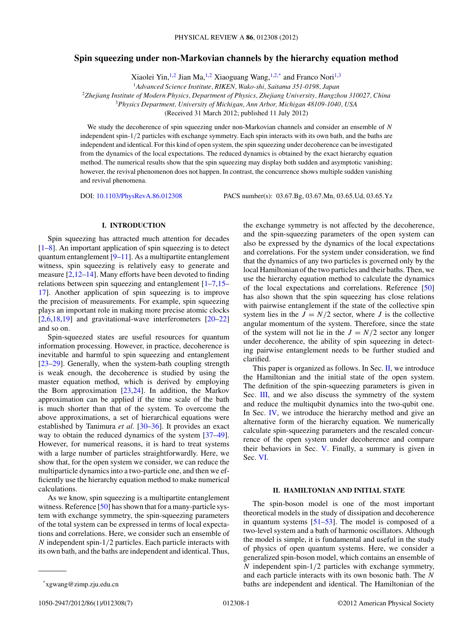# **Spin squeezing under non-Markovian channels by the hierarchy equation method**

Xiaolei Yin,<sup>1,2</sup> Jian Ma,<sup>1,2</sup> Xiaoguang Wang,<sup>1,2,\*</sup> and Franco Nori<sup>1,3</sup>

<sup>2</sup>*Zhejiang Institute of Modern Physics, Department of Physics, Zhejiang University, Hangzhou 310027, China*

<sup>3</sup>*Physics Department, University of Michigan, Ann Arbor, Michigan 48109-1040, USA*

(Received 31 March 2012; published 11 July 2012)

We study the decoherence of spin squeezing under non-Markovian channels and consider an ensemble of *N* independent spin-1*/*2 particles with exchange symmetry. Each spin interacts with its own bath, and the baths are independent and identical. For this kind of open system, the spin squeezing under decoherence can be investigated from the dynamics of the local expectations. The reduced dynamics is obtained by the exact hierarchy equation method. The numerical results show that the spin squeezing may display both sudden and asymptotic vanishing; however, the revival phenomenon does not happen. In contrast, the concurrence shows multiple sudden vanishing and revival phenomena.

DOI: [10.1103/PhysRevA.86.012308](http://dx.doi.org/10.1103/PhysRevA.86.012308) PACS number(s): 03*.*67*.*Bg, 03*.*67*.*Mn, 03*.*65*.*Ud, 03*.*65*.*Yz

## **I. INTRODUCTION**

Spin squeezing has attracted much attention for decades  $[1-8]$ . An important application of spin squeezing is to detect quantum entanglement [\[9–11\]](#page-5-0). As a multipartite entanglement witness, spin squeezing is relatively easy to generate and measure  $[2,12-14]$ . Many efforts have been devoted to finding relations between spin squeezing and entanglement [\[1–7,15–](#page-5-0) [17\]](#page-5-0). Another application of spin squeezing is to improve the precision of measurements. For example, spin squeezing plays an important role in making more precise atomic clocks [\[2,6,18](#page-5-0)[,19\]](#page-6-0) and gravitational-wave interferometers [\[20–22\]](#page-6-0) and so on.

Spin-squeezed states are useful resources for quantum information processing. However, in practice, decoherence is inevitable and harmful to spin squeezing and entanglement [\[23–29\]](#page-6-0). Generally, when the system-bath coupling strength is weak enough, the decoherence is studied by using the master equation method, which is derived by employing the Born approximation  $[23,24]$ . In addition, the Markov approximation can be applied if the time scale of the bath is much shorter than that of the system. To overcome the above approximations, a set of hierarchical equations were established by Tanimura *et al.* [\[30–36\]](#page-6-0). It provides an exact way to obtain the reduced dynamics of the system [\[37–49\]](#page-6-0). However, for numerical reasons, it is hard to treat systems with a large number of particles straightforwardly. Here, we show that, for the open system we consider, we can reduce the multiparticle dynamics into a two-particle one, and then we efficiently use the hierarchy equation method to make numerical calculations.

As we know, spin squeezing is a multipartite entanglement witness. Reference [\[50\]](#page-6-0) has shown that for a many-particle system with exchange symmetry, the spin-squeezing parameters of the total system can be expressed in terms of local expectations and correlations. Here, we consider such an ensemble of *N* independent spin-1*/*2 particles. Each particle interacts with its own bath, and the baths are independent and identical. Thus,

the exchange symmetry is not affected by the decoherence, and the spin-squeezing parameters of the open system can also be expressed by the dynamics of the local expectations and correlations. For the system under consideration, we find that the dynamics of any two particles is governed only by the local Hamiltonian of the two particles and their baths. Then, we use the hierarchy equation method to calculate the dynamics of the local expectations and correlations. Reference [\[50\]](#page-6-0) has also shown that the spin squeezing has close relations with pairwise entanglement if the state of the collective spin system lies in the  $J = N/2$  sector, where *J* is the collective angular momentum of the system. Therefore, since the state of the system will not lie in the  $J = N/2$  sector any longer under decoherence, the ability of spin squeezing in detecting pairwise entanglement needs to be further studied and clarified.

This paper is organized as follows. In Sec. II, we introduce the Hamiltonian and the initial state of the open system. The definition of the spin-squeezing parameters is given in Sec. [III,](#page-1-0) and we also discuss the symmetry of the system and reduce the multiqubit dynamics into the two-qubit one. In Sec. [IV,](#page-2-0) we introduce the hierarchy method and give an alternative form of the hierarchy equation. We numerically calculate spin-squeezing parameters and the rescaled concurrence of the open system under decoherence and compare their behaviors in Sec. [V.](#page-4-0) Finally, a summary is given in Sec. [VI.](#page-5-0)

### **II. HAMILTONIAN AND INITIAL STATE**

The spin-boson model is one of the most important theoretical models in the study of dissipation and decoherence in quantum systems  $[51–53]$ . The model is composed of a two-level system and a bath of harmonic oscillators. Although the model is simple, it is fundamental and useful in the study of physics of open quantum systems. Here, we consider a generalized spin-boson model, which contains an ensemble of *N* independent spin-1*/*2 particles with exchange symmetry, and each particle interacts with its own bosonic bath. The *N* baths are independent and identical. The Hamiltonian of the

<sup>1</sup>*Advanced Science Institute, RIKEN, Wako-shi, Saitama 351-0198, Japan*

<sup>\*</sup>xgwang@zimp.zju.edu.cn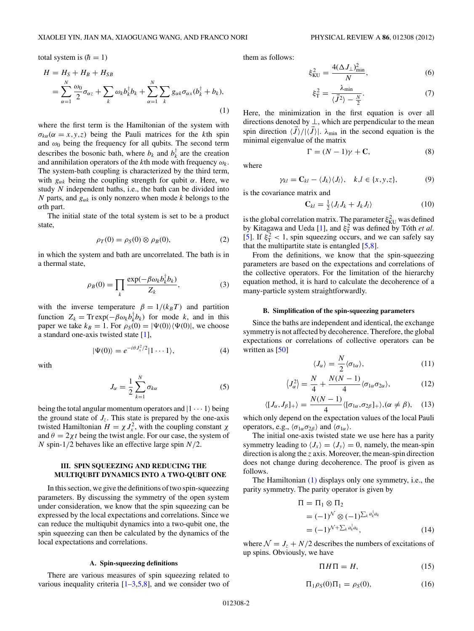<span id="page-1-0"></span>total system is  $(h = 1)$ 

$$
H = HS + HB + HSB
$$
  
= 
$$
\sum_{\alpha=1}^{N} \frac{\omega_0}{2} \sigma_{\alpha z} + \sum_{k} \omega_k b_k^{\dagger} b_k + \sum_{\alpha=1}^{N} \sum_{k} g_{\alpha k} \sigma_{\alpha x} (b_k^{\dagger} + b_k),
$$
 (1)

where the first term is the Hamiltonian of the system with  $\sigma_{k\alpha}(\alpha = x, y, z)$  being the Pauli matrices for the *k*th spin and  $\omega_0$  being the frequency for all qubits. The second term describes the bosonic bath, where  $b_k$  and  $b_k^{\dagger}$  are the creation and annihilation operators of the *k*th mode with frequency *ωk*. The system-bath coupling is characterized by the third term, with  $g_{\alpha k}$  being the coupling strength for qubit  $\alpha$ . Here, we study *N* independent baths, i.e., the bath can be divided into *N* parts, and  $g_{\alpha k}$  is only nonzero when mode *k* belongs to the *α*th part.

The initial state of the total system is set to be a product state,

$$
\rho_T(0) = \rho_S(0) \otimes \rho_B(0), \tag{2}
$$

in which the system and bath are uncorrelated. The bath is in a thermal state,

$$
\rho_B(0) = \prod_k \frac{\exp(-\beta \omega_k b_k^{\dagger} b_k)}{Z_k},
$$
\n(3)

with the inverse temperature  $\beta = 1/(k_B T)$  and partition function  $Z_k = \text{Tr} \exp(-\beta \omega_k b_k^{\dagger} b_k)$  for mode *k*, and in this paper we take  $k_B = 1$ . For  $\rho_S(0) = |\Psi(0)\rangle \langle \Psi(0)|$ , we choose a standard one-axis twisted state [\[1\]](#page-5-0),

$$
|\Psi(0)\rangle = e^{-i\theta J_x^2/2} |1 \cdots 1\rangle, \tag{4}
$$

with

$$
J_{\alpha} = \frac{1}{2} \sum_{k=1}^{N} \sigma_{k\alpha} \tag{5}
$$

being the total angular momentum operators and  $|1 \cdots 1 \rangle$  being the ground state of  $J_z$ . This state is prepared by the one-axis twisted Hamiltonian  $H = \chi J_x^2$ , with the coupling constant  $\chi$ and  $\theta = 2\chi t$  being the twist angle. For our case, the system of *N* spin-1*/*2 behaves like an effective large spin *N/*2.

## **III. SPIN SQUEEZING AND REDUCING THE MULTIQUBIT DYNAMICS INTO A TWO-QUBIT ONE**

In this section, we give the definitions of two spin-squeezing parameters. By discussing the symmetry of the open system under consideration, we know that the spin squeezing can be expressed by the local expectations and correlations. Since we can reduce the multiqubit dynamics into a two-qubit one, the spin squeezing can then be calculated by the dynamics of the local expectations and correlations.

#### **A. Spin-squeezing definitions**

There are various measures of spin squeezing related to various inequality criteria  $[1-3,5,8]$ , and we consider two of them as follows:

$$
\xi_{\text{KU}}^2 = \frac{4(\Delta J_\perp)_{\text{min}}^2}{N},\tag{6}
$$

$$
\xi_{\rm T}^2 = \frac{\lambda_{\rm min}}{\langle \vec{J}^2 \rangle - \frac{N}{2}}.\tag{7}
$$

Here, the minimization in the first equation is over all directions denoted by  $\perp$ , which are perpendicular to the mean spin direction  $\langle J \rangle / |\langle J \rangle|$ .  $\lambda_{\min}$  in the second equation is the minimal eigenvalue of the matrix

$$
\Gamma = (N - 1)\gamma + \mathbf{C},\tag{8}
$$

where

$$
\gamma_{kl} = \mathbf{C}_{kl} - \langle J_k \rangle \langle J_l \rangle, \quad k, l \in \{x, y, z\},\tag{9}
$$

is the covariance matrix and

$$
\mathbf{C}_{kl} = \frac{1}{2} \langle J_l J_k + J_k J_l \rangle \tag{10}
$$

is the global correlation matrix. The parameter  $\xi_{\text{KU}}^2$  was defined by Kitagawa and Ueda [\[1\]](#page-5-0), and  $\xi_T^2$  was defined by Tóth *et al.* [\[5\]](#page-5-0). If  $\xi_T^2$  < 1, spin squeezing occurs, and we can safely say that the multipartite state is entangled  $[5,8]$ .

From the definitions, we know that the spin-squeezing parameters are based on the expectations and correlations of the collective operators. For the limitation of the hierarchy equation method, it is hard to calculate the decoherence of a many-particle system straightforwardly.

### **B. Simplification of the spin-squeezing parameters**

Since the baths are independent and identical, the exchange symmetry is not affected by decoherence. Therefore, the global expectations or correlations of collective operators can be written as [\[50\]](#page-6-0)

$$
\langle J_{\alpha}\rangle = \frac{N}{2} \langle \sigma_{1\alpha}\rangle,\tag{11}
$$

$$
\langle J_{\alpha}^2 \rangle = \frac{N}{4} + \frac{N(N-1)}{4} \langle \sigma_{1\alpha} \sigma_{2\alpha} \rangle, \tag{12}
$$

$$
\langle [J_{\alpha},J_{\beta}]_{+}\rangle = \frac{N(N-1)}{4} \langle [\sigma_{1\alpha},\sigma_{2\beta}]_{+}\rangle, (\alpha \neq \beta), \quad (13)
$$

which only depend on the expectation values of the local Pauli operators, e.g.,  $\langle \sigma_{1\alpha} \sigma_{2\beta} \rangle$  and  $\langle \sigma_{1\alpha} \rangle$ .

The initial one-axis twisted state we use here has a parity symmetry leading to  $\langle J_x \rangle = \langle J_y \rangle = 0$ , namely, the mean-spin direction is along the *z* axis. Moreover, the mean-spin direction does not change during decoherence. The proof is given as follows.

The Hamiltonian (1) displays only one symmetry, i.e., the parity symmetry. The parity operator is given by

$$
\Pi = \Pi_1 \otimes \Pi_2
$$
  
=  $(-1)^{\mathcal{N}} \otimes (-1)^{\sum_k a_k^{\dagger} a_k}$   
=  $(-1)^{\mathcal{N} + \sum_k a_k^{\dagger} a_k}$ , (14)

where  $\mathcal{N} = J_z + N/2$  describes the numbers of excitations of up spins. Obviously, we have

$$
\Pi H \Pi = H,\tag{15}
$$

$$
\Pi_1 \rho_S(0) \Pi_1 = \rho_S(0),\tag{16}
$$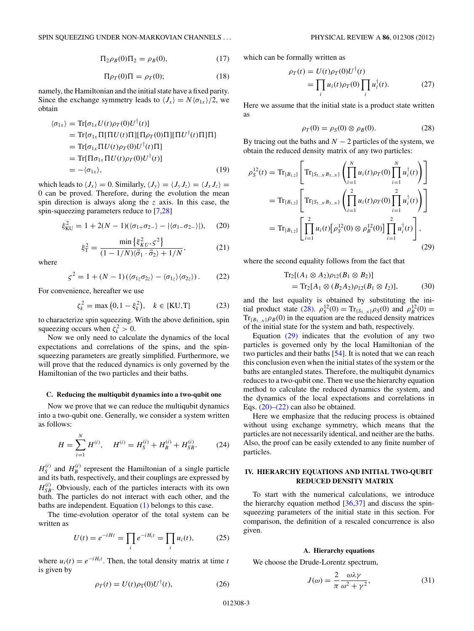$$
\Pi_2 \rho_B(0) \Pi_2 = \rho_B(0), \tag{17}
$$

$$
\Pi \rho_T(0) \Pi = \rho_T(0); \tag{18}
$$

<span id="page-2-0"></span>namely, the Hamiltonian and the initial state have a fixed parity. Since the exchange symmetry leads to  $\langle J_x \rangle = N \langle \sigma_{1x} \rangle / 2$ , we obtain

$$
\langle \sigma_{1x} \rangle = \text{Tr}[\sigma_{1x} U(t) \rho_T(0) U^{\dagger}(t)]
$$
  
\n
$$
= \text{Tr}[\sigma_{1x} \Pi[\Pi U(t) \Pi][\Pi \rho_T(0) \Pi][\Pi U^{\dagger}(t) \Pi]\Pi]
$$
  
\n
$$
= \text{Tr}[\sigma_{1x} \Pi U(t) \rho_T(0) U^{\dagger}(t) \Pi]
$$
  
\n
$$
= \text{Tr}[\Pi \sigma_{1x} \Pi U(t) \rho_T(0) U^{\dagger}(t)]
$$
  
\n
$$
= -\langle \sigma_{1x} \rangle, \qquad (19)
$$

which leads to  $\langle J_x \rangle = 0$ . Similarly,  $\langle J_y \rangle = \langle J_y J_z \rangle = \langle J_x J_z \rangle =$ 0 can be proved. Therefore, during the evolution the mean spin direction is always along the *z* axis. In this case, the spin-squeezing parameters reduce to [\[7,](#page-5-0)[28\]](#page-6-0)

$$
\xi_{\text{KU}}^2 = 1 + 2(N - 1)(\langle \sigma_{1+} \sigma_{2-} \rangle - |\langle \sigma_{1-} \sigma_{2-} \rangle|), \quad (20)
$$

$$
\xi_{\rm T}^2 = \frac{\min\left\{\xi_{\rm KU}^2, \varsigma^2\right\}}{(1 - 1/N)\langle\vec{\sigma}_1 \cdot \vec{\sigma}_2\rangle + 1/N},\tag{21}
$$

where

$$
\varsigma^2 = 1 + (N - 1)(\langle \sigma_{1z} \sigma_{2z} \rangle - \langle \sigma_{1z} \rangle \langle \sigma_{2z} \rangle). \tag{22}
$$

For convenience, hereafter we use

$$
\zeta_k^2 = \max(0, 1 - \xi_k^2), \quad k \in \{KU, T\}
$$
 (23)

to characterize spin squeezing. With the above definition, spin squeezing occurs when  $\zeta_k^2 > 0$ .

Now we only need to calculate the dynamics of the local expectations and correlations of the spins, and the spinsqueezing parameters are greatly simplified. Furthermore, we will prove that the reduced dynamics is only governed by the Hamiltonian of the two particles and their baths.

#### **C. Reducing the multiqubit dynamics into a two-qubit one**

Now we prove that we can reduce the multiqubit dynamics into a two-qubit one. Generally, we consider a system written as follows:

$$
H = \sum_{i=1}^{N} H^{(i)}, \quad H^{(i)} = H_{S}^{(i)} + H_{B}^{(i)} + H_{SB}^{(i)}.
$$
 (24)

 $H_S^{(i)}$  and  $H_B^{(i)}$  represent the Hamiltonian of a single particle and its bath, respectively, and their couplings are expressed by  $H_{SB}^{(i)}$ . Obviously, each of the particles interacts with its own bath. The particles do not interact with each other, and the baths are independent. Equation [\(1\)](#page-1-0) belongs to this case.

The time-evolution operator of the total system can be written as

$$
U(t) = e^{-iHt} = \prod_{i} e^{-iH_i t} = \prod_{i} u_i(t),
$$
 (25)

where  $u_i(t) = e^{-iH_i t}$ . Then, the total density matrix at time *t* is given by

$$
\rho_T(t) = U(t)\rho_T(0)U^{\dagger}(t),\tag{26}
$$

which can be formally written as

$$
\rho_T(t) = U(t)\rho_T(0)U^{\dagger}(t)
$$
  
= 
$$
\prod_i u_i(t)\rho_T(0) \prod_i u_i^{\dagger}(t).
$$
 (27)

Here we assume that the initial state is a product state written as

$$
\rho_T(0) = \rho_S(0) \otimes \rho_B(0). \tag{28}
$$

By tracing out the baths and  $N - 2$  particles of the system, we obtain the reduced density matrix of any two particles:

$$
\rho_S^{12}(t) = \text{Tr}_{\{B_{1,2}\}} \left[ \text{Tr}_{\{S_{3\ldots N}B_{3\ldots N}\}} \left( \prod_{i=1}^N u_i(t) \rho_T(0) \prod_{i=1}^N u_i^\dagger(t) \right) \right]
$$
  
\n
$$
= \text{Tr}_{\{B_{1,2}\}} \left[ \text{Tr}_{\{S_{3\ldots N}B_{3\ldots N}\}} \left( \prod_{i=1}^2 u_i(t) \rho_T(0) \prod_{i=1}^2 u_i^\dagger(t) \right) \right]
$$
  
\n
$$
= \text{Tr}_{\{B_{1,2}\}} \left[ \prod_{i=1}^2 u_i(t) \left[ \rho_S^{12}(0) \otimes \rho_B^{12}(0) \right] \prod_{i=1}^2 u_i^\dagger(t) \right],
$$
\n(29)

where the second equality follows from the fact that

$$
Tr_2[(A_1 \otimes A_2)\rho_{12}(B_1 \otimes B_2)]
$$
  
= Tr\_2[A\_1 \otimes (B\_2 A\_2)\rho\_{12}(B\_1 \otimes I\_2)], (30)

and the last equality is obtained by substituting the initial product state (28).  $\rho_S^{12}(0) = Tr_{\{S_{3\ldots N}\}} \rho_S(0)$  and  $\rho_B^{12}(0) =$  $Tr_{\{B_3, N\}} \rho_B(0)$  in the equation are the reduced density matrices of the initial state for the system and bath, respectively.

Equation (29) indicates that the evolution of any two particles is governed only by the local Hamiltonian of the two particles and their baths [\[54\]](#page-6-0). It is noted that we can reach this conclusion even when the initial states of the system or the baths are entangled states. Therefore, the multiqubit dynamics reduces to a two-qubit one. Then we use the hierarchy equation method to calculate the reduced dynamics the system, and the dynamics of the local expectations and correlations in Eqs.  $(20)$ – $(22)$  can also be obtained.

Here we emphasize that the reducing process is obtained without using exchange symmetry, which means that the particles are not necessarily identical, and neither are the baths. Also, the proof can be easily extended to any finite number of particles.

# **IV. HIERARCHY EQUATIONS AND INITIAL TWO-QUBIT REDUCED DENSITY MATRIX**

To start with the numerical calculations, we introduce the hierarchy equation method [\[36,37\]](#page-6-0) and discuss the spinsqueezing parameters of the initial state in this section. For comparison, the definition of a rescaled concurrence is also given.

#### **A. Hierarchy equations**

We choose the Drude-Lorentz spectrum,

$$
J(\omega) = \frac{2}{\pi} \frac{\omega \lambda \gamma}{\omega^2 + \gamma^2},\tag{31}
$$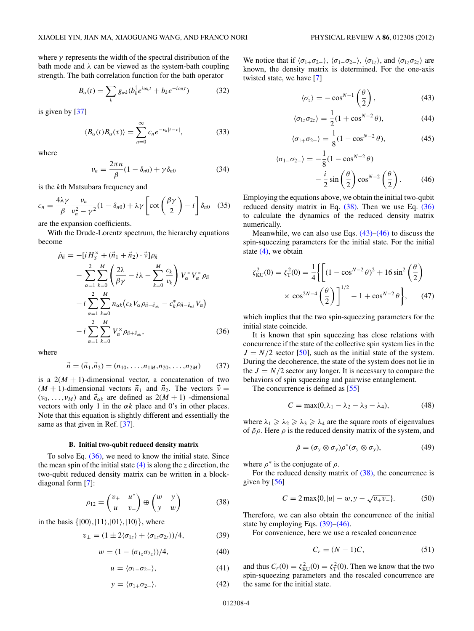<span id="page-3-0"></span>where  $\gamma$  represents the width of the spectral distribution of the bath mode and *λ* can be viewed as the system-bath coupling strength. The bath correlation function for the bath operator

$$
B_{\alpha}(t) = \sum_{k} g_{\alpha k} (b_{k}^{\dagger} e^{i\omega_{k}t} + b_{k} e^{-i\omega_{k}t})
$$
 (32)

is given by [\[37\]](#page-6-0)

$$
\langle B_{\alpha}(t)B_{\alpha}(\tau)\rangle = \sum_{n=0}^{\infty} c_n e^{-\nu_n|t-\tau|},
$$
\n(33)

where

$$
\nu_n = \frac{2\pi n}{\beta} (1 - \delta_{n0}) + \gamma \delta_{n0}
$$
\n(34)

is the *k*th Matsubara frequency and

$$
c_n = \frac{4\lambda\gamma}{\beta} \frac{v_n}{v_n^2 - \gamma^2} (1 - \delta_{n0}) + \lambda\gamma \left[ \cot\left(\frac{\beta\gamma}{2}\right) - i \right] \delta_{n0} \quad (35)
$$

are the expansion coefficients.

With the Drude-Lorentz spectrum, the hierarchy equations become

$$
\dot{\rho}_{\vec{n}} = -[iH_{S}^{\times} + (\vec{n}_{1} + \vec{n}_{2}) \cdot \vec{v}]\rho_{\vec{n}} \n- \sum_{\alpha=1}^{2} \sum_{k=0}^{M} \left( \frac{2\lambda}{\beta \gamma} - i\lambda - \sum_{k=0}^{M} \frac{c_{k}}{v_{k}} \right) V_{\alpha}^{\times} V_{\alpha}^{\times} \rho_{\vec{n}} \n- i \sum_{\alpha=1}^{2} \sum_{k=0}^{M} n_{\alpha k} (c_{k} V_{\alpha} \rho_{\vec{n} - \vec{e}_{\alpha k}} - c_{k}^{*} \rho_{\vec{n} - \vec{e}_{\alpha k}} V_{\alpha}) \n- i \sum_{\alpha=1}^{2} \sum_{k=0}^{M} V_{\alpha}^{\times} \rho_{\vec{n} + \vec{e}_{\alpha k}},
$$
\n(36)

where

$$
\vec{n} = (\vec{n}_1, \vec{n}_2) = (n_{10}, \dots, n_{1M}, n_{20}, \dots, n_{2M}) \tag{37}
$$

is a  $2(M + 1)$ -dimensional vector, a concatenation of two  $(M + 1)$ -dimensional vectors  $\vec{n}_1$  and  $\vec{n}_2$ . The vectors  $\vec{v}$  =  $(v_0, \ldots, v_M)$  and  $\vec{e}_{\alpha k}$  are defined as  $2(M + 1)$  -dimensional vectors with only 1 in the  $\alpha k$  place and 0's in other places. Note that this equation is slightly different and essentially the same as that given in Ref. [\[37\]](#page-6-0).

#### **B. Initial two-qubit reduced density matrix**

To solve Eq. (36), we need to know the initial state. Since the mean spin of the initial state  $(4)$  is along the *z* direction, the two-qubit reduced density matrix can be written in a blockdiagonal form [\[7\]](#page-5-0):

$$
\rho_{12} = \begin{pmatrix} v_+ & u^* \\ u & v_- \end{pmatrix} \oplus \begin{pmatrix} w & y \\ y & w \end{pmatrix} \tag{38}
$$

in the basis  $\{|00\rangle, |11\rangle, |01\rangle, |10\rangle\}$ , where

$$
v_{\pm} = (1 \pm 2\langle \sigma_{1z} \rangle + \langle \sigma_{1z} \sigma_{2z} \rangle)/4, \tag{39}
$$

$$
w = (1 - \langle \sigma_{1z} \sigma_{2z} \rangle) / 4, \tag{40}
$$

$$
u = \langle \sigma_{1-} \sigma_{2-} \rangle, \tag{41}
$$

$$
y = \langle \sigma_{1+} \sigma_{2-} \rangle. \tag{42}
$$

We notice that if  $\langle \sigma_{1+} \sigma_{2-} \rangle$ ,  $\langle \sigma_{1-} \sigma_{2-} \rangle$ ,  $\langle \sigma_{1z} \rangle$ , and  $\langle \sigma_{1z} \sigma_{2z} \rangle$  are known, the density matrix is determined. For the one-axis twisted state, we have [\[7\]](#page-5-0)

$$
\langle \sigma_z \rangle = -\cos^{N-1} \left( \frac{\theta}{2} \right),\tag{43}
$$

$$
\langle \sigma_{1z} \sigma_{2z} \rangle = \frac{1}{2} (1 + \cos^{N-2} \theta), \tag{44}
$$

$$
\langle \sigma_{1+} \sigma_{2-} \rangle = \frac{1}{8} (1 - \cos^{N-2} \theta), \tag{45}
$$

$$
\langle \sigma_{1} - \sigma_{2-} \rangle = -\frac{1}{8} (1 - \cos^{N-2} \theta)
$$

$$
- \frac{i}{2} \sin \left( \frac{\theta}{2} \right) \cos^{N-2} \left( \frac{\theta}{2} \right). \tag{46}
$$

Employing the equations above, we obtain the initial two-qubit reduced density matrix in Eq.  $(38)$ . Then we use Eq.  $(36)$ to calculate the dynamics of the reduced density matrix numerically.

Meanwhile, we can also use Eqs.  $(43)$ – $(46)$  to discuss the spin-squeezing parameters for the initial state. For the initial state  $(4)$ , we obtain

$$
\zeta_{\text{KU}}^2(0) = \zeta_{\text{T}}^2(0) = \frac{1}{4} \left\{ \left[ (1 - \cos^{N-2}\theta)^2 + 16\sin^2\left(\frac{\theta}{2}\right) \right. \right. \times \cos^{2N-4}\left(\frac{\theta}{2}\right) \right\}^{1/2} - 1 + \cos^{N-2}\theta \left\}, \quad (47)
$$

which implies that the two spin-squeezing parameters for the initial state coincide.

It is known that spin squeezing has close relations with concurrence if the state of the collective spin system lies in the  $J = N/2$  sector [\[50\]](#page-6-0), such as the initial state of the system. During the decoherence, the state of the system does not lie in the  $J = N/2$  sector any longer. It is necessary to compare the behaviors of spin squeezing and pairwise entanglement.

The concurrence is defined as [\[55\]](#page-6-0)

$$
C = \max(0, \lambda_1 - \lambda_2 - \lambda_3 - \lambda_4), \tag{48}
$$

where  $\lambda_1 \geq \lambda_2 \geq \lambda_3 \geq \lambda_4$  are the square roots of eigenvalues of  $\tilde{\rho}\rho$ . Here  $\rho$  is the reduced density matrix of the system, and

$$
\tilde{\rho} = (\sigma_y \otimes \sigma_y) \rho^*(\sigma_y \otimes \sigma_y), \tag{49}
$$

where  $\rho^*$  is the conjugate of  $\rho$ .

For the reduced density matrix of  $(38)$ , the concurrence is given by  $[56]$ 

$$
C = 2 \max\{0, |u| - w, y - \sqrt{v_{+}v_{-}}\}.
$$
 (50)

Therefore, we can also obtain the concurrence of the initial state by employing Eqs. (39)–(46).

For convenience, here we use a rescaled concurrence

$$
C_r = (N-1)C,\t(51)
$$

and thus  $C_r(0) = \zeta_{\text{KU}}^2(0) = \zeta_{\text{T}}^2(0)$ . Then we know that the two spin-squeezing parameters and the rescaled concurrence are the same for the initial state.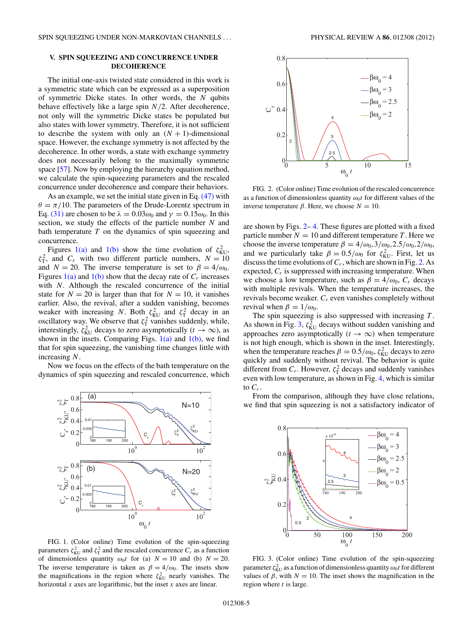# <span id="page-4-0"></span>**V. SPIN SQUEEZING AND CONCURRENCE UNDER DECOHERENCE**

The initial one-axis twisted state considered in this work is a symmetric state which can be expressed as a superposition of symmetric Dicke states. In other words, the *N* qubits behave effectively like a large spin *N/*2. After decoherence, not only will the symmetric Dicke states be populated but also states with lower symmetry. Therefore, it is not sufficient to describe the system with only an  $(N + 1)$ -dimensional space. However, the exchange symmetry is not affected by the decoherence. In other words, a state with exchange symmetry does not necessarily belong to the maximally symmetric space [\[57\]](#page-6-0). Now by employing the hierarchy equation method, we calculate the spin-squeezing parameters and the rescaled concurrence under decoherence and compare their behaviors.

As an example, we set the initial state given in Eq. [\(47\)](#page-3-0) with  $\theta = \pi/10$ . The parameters of the Drude-Lorentz spectrum in Eq. [\(31\)](#page-2-0) are chosen to be  $\lambda = 0.03\omega_0$  and  $\gamma = 0.15\omega_0$ . In this section, we study the effects of the particle number *N* and bath temperature *T* on the dynamics of spin squeezing and concurrence.

Figures 1(a) and 1(b) show the time evolution of  $\zeta_{\text{KU}}^2$ ,  $\zeta_{\rm T}^2$ , and *C<sub>r</sub>* with two different particle numbers,  $N = 10$ and *N* = 20. The inverse temperature is set to  $\beta = 4/\omega_0$ . Figures  $1(a)$  and  $1(b)$  show that the decay rate of  $C_r$  increases with *N*. Although the rescaled concurrence of the initial state for  $N = 20$  is larger than that for  $N = 10$ , it vanishes earlier. Also, the revival, after a sudden vanishing, becomes weaker with increasing *N*. Both  $\zeta_{\text{KU}}^2$  and  $\zeta_{\text{T}}^2$  decay in an oscillatory way. We observe that  $\zeta_1^2$  vanishes suddenly, while, interestingly,  $\zeta_{\text{KU}}^2$  decays to zero asymptotically  $(t \to \infty)$ , as shown in the insets. Comparing Figs.  $1(a)$  and  $1(b)$ , we find that for spin squeezing, the vanishing time changes little with increasing *N*.

Now we focus on the effects of the bath temperature on the dynamics of spin squeezing and rescaled concurrence, which



FIG. 1. (Color online) Time evolution of the spin-squeezing parameters  $\zeta_{\text{KU}}^2$  and  $\zeta_{\text{T}}^2$  and the rescaled concurrence  $C_r$  as a function of dimensionless quantity  $\omega_0 t$  for (a)  $N = 10$  and (b)  $N = 20$ . The inverse temperature is taken as  $\beta = 4/\omega_0$ . The insets show the magnifications in the region where  $\zeta_{\text{KU}}^2$  nearly vanishes. The horizontal *x* axes are logarithmic, but the inset *x* axes are linear.



FIG. 2. (Color online) Time evolution of the rescaled concurrence as a function of dimensionless quantity  $\omega_0 t$  for different values of the inverse temperature *β*. Here, we choose *N* = 10.

are shown by Figs. 2– [4.](#page-5-0) These figures are plotted with a fixed particle number  $N = 10$  and different temperature T. Here we choose the inverse temperature  $\beta = 4/\omega_0, 3/\omega_0, 2.5/\omega_0, 2/\omega_0$ , and we particularly take  $\beta = 0.5/\omega_0$  for  $\zeta_{\text{KU}}^2$ . First, let us discuss the time evolutions of  $C_r$ , which are shown in Fig. 2. As expected,  $C_r$  is suppressed with increasing temperature. When we choose a low temperature, such as  $\beta = 4/\omega_0$ ,  $C_r$  decays with multiple revivals. When the temperature increases, the revivals become weaker. *Cr* even vanishes completely without revival when  $\beta = 1/\omega_0$ .

The spin squeezing is also suppressed with increasing *T* . As shown in Fig. 3,  $\zeta_{\text{KU}}^2$  decays without sudden vanishing and approaches zero asymptotically  $(t \to \infty)$  when temperature is not high enough, which is shown in the inset. Interestingly, when the temperature reaches  $\beta = 0.5/\omega_0$ ,  $\zeta_{\text{KU}}^2$  decays to zero quickly and suddenly without revival. The behavior is quite different from  $C_r$ . However,  $\zeta_T^2$  decays and suddenly vanishes even with low temperature, as shown in Fig. [4,](#page-5-0) which is similar to  $C_r$ .

From the comparison, although they have close relations, we find that spin squeezing is not a satisfactory indicator of



FIG. 3. (Color online) Time evolution of the spin-squeezing parameter  $\zeta_{\text{KU}}^2$  as a function of dimensionless quantity  $\omega_0 t$  for different values of  $\beta$ , with  $N = 10$ . The inset shows the magnification in the region where *t* is large.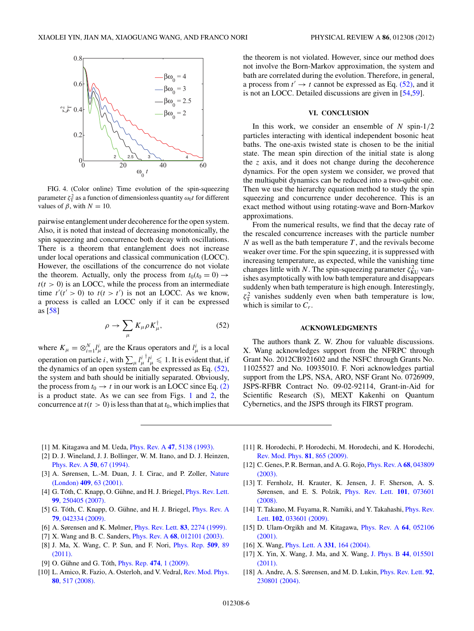<span id="page-5-0"></span>

FIG. 4. (Color online) Time evolution of the spin-squeezing parameter  $\zeta_1^2$  as a function of dimensionless quantity  $\omega_0 t$  for different values of  $\beta$ , with  $N = 10$ .

pairwise entanglement under decoherence for the open system. Also, it is noted that instead of decreasing monotonically, the spin squeezing and concurrence both decay with oscillations. There is a theorem that entanglement does not increase under local operations and classical communication (LOCC). However, the oscillations of the concurrence do not violate the theorem. Actually, only the process from  $t_0(t_0 = 0) \rightarrow$  $t(t > 0)$  is an LOCC, while the process from an intermediate time  $t'(t' > 0)$  to  $t(t > t')$  is not an LOCC. As we know, a process is called an LOCC only if it can be expressed as [\[58\]](#page-6-0)

$$
\rho \to \sum_{\mu} K_{\mu} \rho K_{\mu}^{\dagger}, \tag{52}
$$

where  $K_{\mu} = \otimes_{i=1}^{N} l_{\mu}^{i}$  are the Kraus operators and  $l_{\mu}^{i}$  is a local operation on particle *i*, with  $\sum_{\mu} l_{\mu}^{i}$  $^{\dagger}l_{\mu}^{i} \leqslant 1$ . It is evident that, if the dynamics of an open system can be expressed as Eq.  $(52)$ , the system and bath should be initially separated. Obviously, the process from  $t_0 \rightarrow t$  in our work is an LOCC since Eq. [\(2\)](#page-1-0) is a product state. As we can see from Figs. [1](#page-4-0) and [2,](#page-4-0) the concurrence at  $t(t > 0)$  is less than that at  $t_0$ , which implies that

the theorem is not violated. However, since our method does not involve the Born-Markov approximation, the system and bath are correlated during the evolution. Therefore, in general, a process from  $t' \rightarrow t$  cannot be expressed as Eq. (52), and it is not an LOCC. Detailed discussions are given in [\[54,59\]](#page-6-0).

### **VI. CONCLUSION**

In this work, we consider an ensemble of *N* spin-1*/*2 particles interacting with identical independent bosonic heat baths. The one-axis twisted state is chosen to be the initial state. The mean spin direction of the initial state is along the *z* axis, and it does not change during the decoherence dynamics. For the open system we consider, we proved that the multiqubit dynamics can be reduced into a two-qubit one. Then we use the hierarchy equation method to study the spin squeezing and concurrence under decoherence. This is an exact method without using rotating-wave and Born-Markov approximations.

From the numerical results, we find that the decay rate of the rescaled concurrence increases with the particle number *N* as well as the bath temperature *T* , and the revivals become weaker over time. For the spin squeezing, it is suppressed with increasing temperature, as expected, while the vanishing time changes little with *N*. The spin-squeezing parameter  $\zeta_{\text{KU}}^2$  vanishes asymptotically with low bath temperature and disappears suddenly when bath temperature is high enough. Interestingly,  $\zeta_T^2$  vanishes suddenly even when bath temperature is low, which is similar to *Cr*.

### **ACKNOWLEDGMENTS**

The authors thank Z. W. Zhou for valuable discussions. X. Wang acknowledges support from the NFRPC through Grant No. 2012CB921602 and the NSFC through Grants No. 11025527 and No. 10935010. F. Nori acknowledges partial support from the LPS, NSA, ARO, NSF Grant No. 0726909, JSPS-RFBR Contract No. 09-02-92114, Grant-in-Aid for Scientific Research (S), MEXT Kakenhi on Quantum Cybernetics, and the JSPS through its FIRST program.

- [1] M. Kitagawa and M. Ueda, Phys. Rev. A **47**[, 5138 \(1993\).](http://dx.doi.org/10.1103/PhysRevA.47.5138)
- [2] D. J. Wineland, J. J. Bollinger, W. M. Itano, and D. J. Heinzen, [Phys. Rev. A](http://dx.doi.org/10.1103/PhysRevA.50.67) **50**, 67 (1994).
- [3] A. Sørensen, L.-M. Duan, J. I. Cirac, and P. Zoller, [Nature](http://dx.doi.org/10.1038/35051038) (London) **409**[, 63 \(2001\).](http://dx.doi.org/10.1038/35051038)
- [4] G. Tóth, C. Knapp, O. Gühne, and H. J. Briegel, *[Phys. Rev. Lett.](http://dx.doi.org/10.1103/PhysRevLett.99.250405)* **99**[, 250405 \(2007\).](http://dx.doi.org/10.1103/PhysRevLett.99.250405)
- [5] G. Tóth, C. Knapp, O. Gühne, and H. J. Briegel, *[Phys. Rev. A](http://dx.doi.org/10.1103/PhysRevA.79.042334)* **79**[, 042334 \(2009\).](http://dx.doi.org/10.1103/PhysRevA.79.042334)
- [6] A. Sørensen and K. Mølmer, [Phys. Rev. Lett.](http://dx.doi.org/10.1103/PhysRevLett.83.2274) **83**, 2274 (1999).
- [7] X. Wang and B. C. Sanders, Phys. Rev. A **68**[, 012101 \(2003\).](http://dx.doi.org/10.1103/PhysRevA.68.012101)
- [8] J. Ma, X. Wang, C. P. Sun, and F. Nori, [Phys. Rep.](http://dx.doi.org/10.1016/j.physrep.2011.08.003) **509**, 89 [\(2011\).](http://dx.doi.org/10.1016/j.physrep.2011.08.003)
- [9] O. Gühne and G. Tóth, *[Phys. Rep.](http://dx.doi.org/10.1016/j.physrep.2009.02.004) 474, 1 (2009).*
- [10] L. Amico, R. Fazio, A. Osterloh, and V. Vedral, [Rev. Mod. Phys.](http://dx.doi.org/10.1103/RevModPhys.80.517) **80**[, 517 \(2008\).](http://dx.doi.org/10.1103/RevModPhys.80.517)
- [11] R. Horodechi, P. Horodechi, M. Horodechi, and K. Horodechi, [Rev. Mod. Phys.](http://dx.doi.org/10.1103/RevModPhys.81.865) **81**, 865 (2009).
- [12] C. Genes, P. R. Berman, and A. G. Rojo, [Phys. Rev. A](http://dx.doi.org/10.1103/PhysRevA.68.043809) **68**, 043809 [\(2003\).](http://dx.doi.org/10.1103/PhysRevA.68.043809)
- [13] T. Fernholz, H. Krauter, K. Jensen, J. F. Sherson, A. S. Sørensen, and E. S. Polzik, [Phys. Rev. Lett.](http://dx.doi.org/10.1103/PhysRevLett.101.073601) **101**, 073601 [\(2008\).](http://dx.doi.org/10.1103/PhysRevLett.101.073601)
- [14] T. Takano, M. Fuyama, R. Namiki, and Y. Takahashi, *[Phys. Rev.](http://dx.doi.org/10.1103/PhysRevLett.102.033601)* Lett. **102**[, 033601 \(2009\).](http://dx.doi.org/10.1103/PhysRevLett.102.033601)
- [15] D. Ulam-Orgikh and M. Kitagawa, [Phys. Rev. A](http://dx.doi.org/10.1103/PhysRevA.64.052106) **64**, 052106 [\(2001\).](http://dx.doi.org/10.1103/PhysRevA.64.052106)
- [16] X. Wang, [Phys. Lett. A](http://dx.doi.org/10.1016/j.physleta.2004.08.019) **331**, 164 (2004).
- [17] X. Yin, X. Wang, J. Ma, and X. Wang, [J. Phys. B](http://dx.doi.org/10.1088/0953-4075/44/1/015501) **44**, 015501 [\(2011\).](http://dx.doi.org/10.1088/0953-4075/44/1/015501)
- [18] A. Andre, A. S. Sørensen, and M. D. Lukin, [Phys. Rev. Lett.](http://dx.doi.org/10.1103/PhysRevLett.92.230801) **92**, [230801 \(2004\).](http://dx.doi.org/10.1103/PhysRevLett.92.230801)